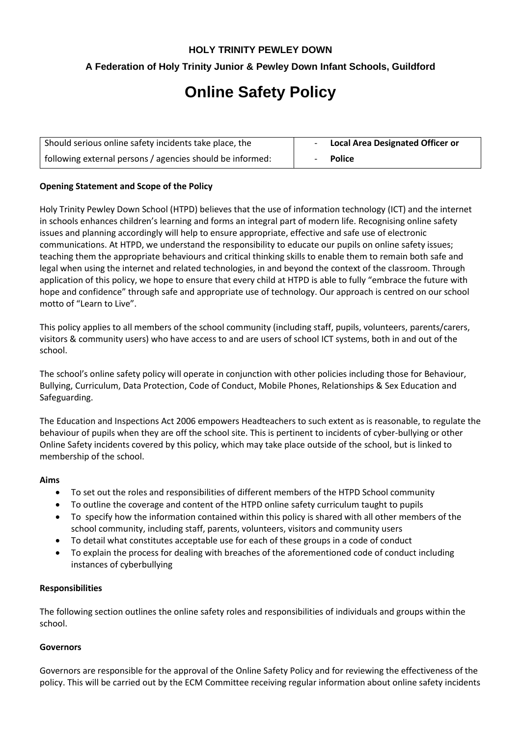# **HOLY TRINITY PEWLEY DOWN**

# **A Federation of Holy Trinity Junior & Pewley Down Infant Schools, Guildford**

# **Online Safety Policy**

| Should serious online safety incidents take place, the    | <b>Local Area Designated Officer or</b> |
|-----------------------------------------------------------|-----------------------------------------|
| following external persons / agencies should be informed: | <b>Police</b>                           |

#### **Opening Statement and Scope of the Policy**

Holy Trinity Pewley Down School (HTPD) believes that the use of information technology (ICT) and the internet in schools enhances children's learning and forms an integral part of modern life. Recognising online safety issues and planning accordingly will help to ensure appropriate, effective and safe use of electronic communications. At HTPD, we understand the responsibility to educate our pupils on online safety issues; teaching them the appropriate behaviours and critical thinking skills to enable them to remain both safe and legal when using the internet and related technologies, in and beyond the context of the classroom. Through application of this policy, we hope to ensure that every child at HTPD is able to fully "embrace the future with hope and confidence" through safe and appropriate use of technology. Our approach is centred on our school motto of "Learn to Live".

This policy applies to all members of the school community (including staff, pupils, volunteers, parents/carers, visitors & community users) who have access to and are users of school ICT systems, both in and out of the school.

The school's online safety policy will operate in conjunction with other policies including those for Behaviour, Bullying, Curriculum, Data Protection, Code of Conduct, Mobile Phones, Relationships & Sex Education and Safeguarding.

The Education and Inspections Act 2006 empowers Headteachers to such extent as is reasonable, to regulate the behaviour of pupils when they are off the school site. This is pertinent to incidents of cyber-bullying or other Online Safety incidents covered by this policy, which may take place outside of the school, but is linked to membership of the school.

#### **Aims**

- To set out the roles and responsibilities of different members of the HTPD School community
- To outline the coverage and content of the HTPD online safety curriculum taught to pupils
- To specify how the information contained within this policy is shared with all other members of the school community, including staff, parents, volunteers, visitors and community users
- To detail what constitutes acceptable use for each of these groups in a code of conduct
- To explain the process for dealing with breaches of the aforementioned code of conduct including instances of cyberbullying

#### **Responsibilities**

The following section outlines the online safety roles and responsibilities of individuals and groups within the school.

#### **Governors**

Governors are responsible for the approval of the Online Safety Policy and for reviewing the effectiveness of the policy. This will be carried out by the ECM Committee receiving regular information about online safety incidents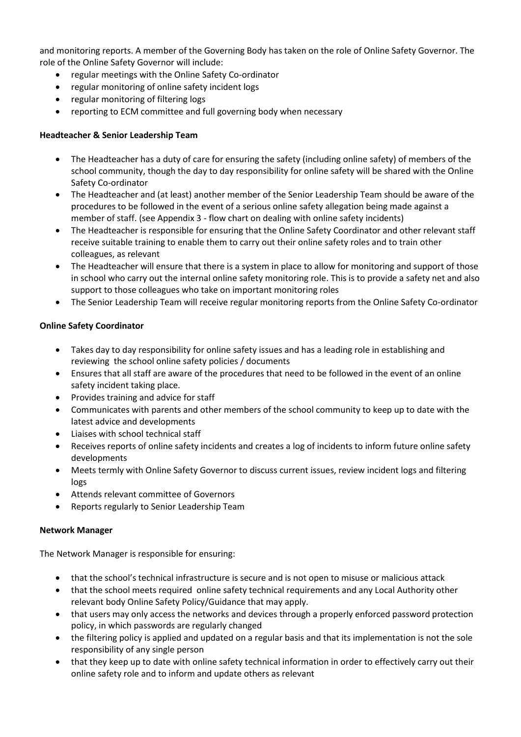and monitoring reports. A member of the Governing Body has taken on the role of Online Safety Governor. The role of the Online Safety Governor will include:

- regular meetings with the Online Safety Co-ordinator
- regular monitoring of online safety incident logs
- regular monitoring of filtering logs
- reporting to ECM committee and full governing body when necessary

# **Headteacher & Senior Leadership Team**

- The Headteacher has a duty of care for ensuring the safety (including online safety) of members of the school community, though the day to day responsibility for online safety will be shared with the Online Safety Co-ordinator
- The Headteacher and (at least) another member of the Senior Leadership Team should be aware of the procedures to be followed in the event of a serious online safety allegation being made against a member of staff. (see Appendix 3 - flow chart on dealing with online safety incidents)
- The Headteacher is responsible for ensuring that the Online Safety Coordinator and other relevant staff receive suitable training to enable them to carry out their online safety roles and to train other colleagues, as relevant
- The Headteacher will ensure that there is a system in place to allow for monitoring and support of those in school who carry out the internal online safety monitoring role. This is to provide a safety net and also support to those colleagues who take on important monitoring roles
- The Senior Leadership Team will receive regular monitoring reports from the Online Safety Co-ordinator

# **Online Safety Coordinator**

- Takes day to day responsibility for online safety issues and has a leading role in establishing and reviewing the school online safety policies / documents
- Ensures that all staff are aware of the procedures that need to be followed in the event of an online safety incident taking place.
- Provides training and advice for staff
- Communicates with parents and other members of the school community to keep up to date with the latest advice and developments
- Liaises with school technical staff
- Receives reports of online safety incidents and creates a log of incidents to inform future online safety developments
- Meets termly with Online Safety Governor to discuss current issues, review incident logs and filtering logs
- Attends relevant committee of Governors
- Reports regularly to Senior Leadership Team

# **Network Manager**

The Network Manager is responsible for ensuring:

- that the school's technical infrastructure is secure and is not open to misuse or malicious attack
- that the school meets required online safety technical requirements and any Local Authority other relevant body Online Safety Policy/Guidance that may apply.
- that users may only access the networks and devices through a properly enforced password protection policy, in which passwords are regularly changed
- the filtering policy is applied and updated on a regular basis and that its implementation is not the sole responsibility of any single person
- that they keep up to date with online safety technical information in order to effectively carry out their online safety role and to inform and update others as relevant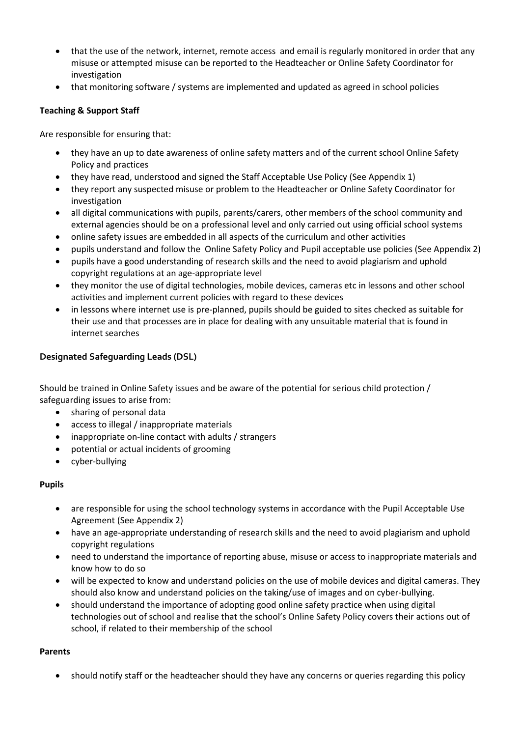- that the use of the network, internet, remote access and email is regularly monitored in order that any misuse or attempted misuse can be reported to the Headteacher or Online Safety Coordinator for investigation
- that monitoring software / systems are implemented and updated as agreed in school policies

# **Teaching & Support Staff**

Are responsible for ensuring that:

- they have an up to date awareness of online safety matters and of the current school Online Safety Policy and practices
- they have read, understood and signed the Staff Acceptable Use Policy (See Appendix 1)
- they report any suspected misuse or problem to the Headteacher or Online Safety Coordinator for investigation
- all digital communications with pupils, parents/carers, other members of the school community and external agencies should be on a professional level and only carried out using official school systems
- online safety issues are embedded in all aspects of the curriculum and other activities
- pupils understand and follow the Online Safety Policy and Pupil acceptable use policies (See Appendix 2)
- pupils have a good understanding of research skills and the need to avoid plagiarism and uphold copyright regulations at an age-appropriate level
- they monitor the use of digital technologies, mobile devices, cameras etc in lessons and other school activities and implement current policies with regard to these devices
- in lessons where internet use is pre-planned, pupils should be guided to sites checked as suitable for their use and that processes are in place for dealing with any unsuitable material that is found in internet searches

# **Designated Safeguarding Leads (DSL)**

Should be trained in Online Safety issues and be aware of the potential for serious child protection / safeguarding issues to arise from:

- sharing of personal data
- access to illegal / inappropriate materials
- inappropriate on-line contact with adults / strangers
- potential or actual incidents of grooming
- cyber-bullying

# **Pupils**

- are responsible for using the school technology systems in accordance with the Pupil Acceptable Use Agreement (See Appendix 2)
- have an age-appropriate understanding of research skills and the need to avoid plagiarism and uphold copyright regulations
- need to understand the importance of reporting abuse, misuse or access to inappropriate materials and know how to do so
- will be expected to know and understand policies on the use of mobile devices and digital cameras. They should also know and understand policies on the taking/use of images and on cyber-bullying.
- should understand the importance of adopting good online safety practice when using digital technologies out of school and realise that the school's Online Safety Policy covers their actions out of school, if related to their membership of the school

# **Parents**

should notify staff or the headteacher should they have any concerns or queries regarding this policy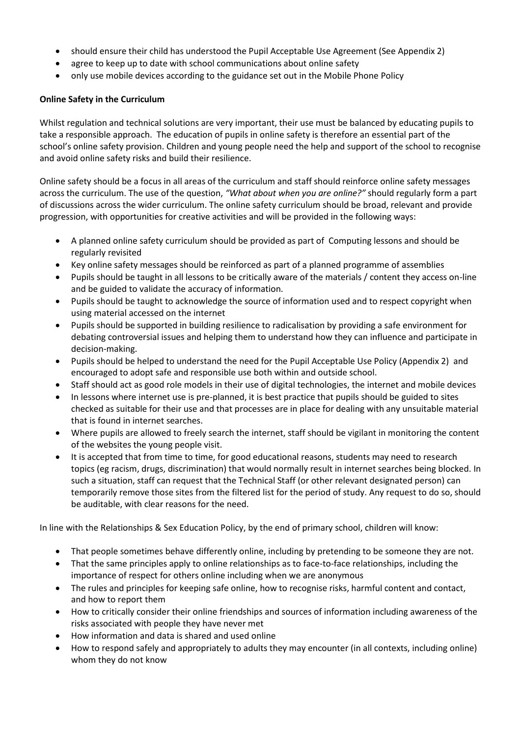- should ensure their child has understood the Pupil Acceptable Use Agreement (See Appendix 2)
- agree to keep up to date with school communications about online safety
- only use mobile devices according to the guidance set out in the Mobile Phone Policy

# **Online Safety in the Curriculum**

Whilst regulation and technical solutions are very important, their use must be balanced by educating pupils to take a responsible approach. The education of pupils in online safety is therefore an essential part of the school's online safety provision. Children and young people need the help and support of the school to recognise and avoid online safety risks and build their resilience.

Online safety should be a focus in all areas of the curriculum and staff should reinforce online safety messages across the curriculum. The use of the question, *"What about when you are online?"* should regularly form a part of discussions across the wider curriculum. The online safety curriculum should be broad, relevant and provide progression, with opportunities for creative activities and will be provided in the following ways:

- A planned online safety curriculum should be provided as part of Computing lessons and should be regularly revisited
- Key online safety messages should be reinforced as part of a planned programme of assemblies
- Pupils should be taught in all lessons to be critically aware of the materials / content they access on-line and be guided to validate the accuracy of information.
- Pupils should be taught to acknowledge the source of information used and to respect copyright when using material accessed on the internet
- Pupils should be supported in building resilience to radicalisation by providing a safe environment for debating controversial issues and helping them to understand how they can influence and participate in decision-making.
- Pupils should be helped to understand the need for the Pupil Acceptable Use Policy (Appendix 2) and encouraged to adopt safe and responsible use both within and outside school.
- Staff should act as good role models in their use of digital technologies, the internet and mobile devices
- In lessons where internet use is pre-planned, it is best practice that pupils should be guided to sites checked as suitable for their use and that processes are in place for dealing with any unsuitable material that is found in internet searches.
- Where pupils are allowed to freely search the internet, staff should be vigilant in monitoring the content of the websites the young people visit.
- It is accepted that from time to time, for good educational reasons, students may need to research topics (eg racism, drugs, discrimination) that would normally result in internet searches being blocked. In such a situation, staff can request that the Technical Staff (or other relevant designated person) can temporarily remove those sites from the filtered list for the period of study. Any request to do so, should be auditable, with clear reasons for the need.

In line with the Relationships & Sex Education Policy, by the end of primary school, children will know:

- That people sometimes behave differently online, including by pretending to be someone they are not.
- That the same principles apply to online relationships as to face-to-face relationships, including the importance of respect for others online including when we are anonymous
- The rules and principles for keeping safe online, how to recognise risks, harmful content and contact, and how to report them
- How to critically consider their online friendships and sources of information including awareness of the risks associated with people they have never met
- How information and data is shared and used online
- How to respond safely and appropriately to adults they may encounter (in all contexts, including online) whom they do not know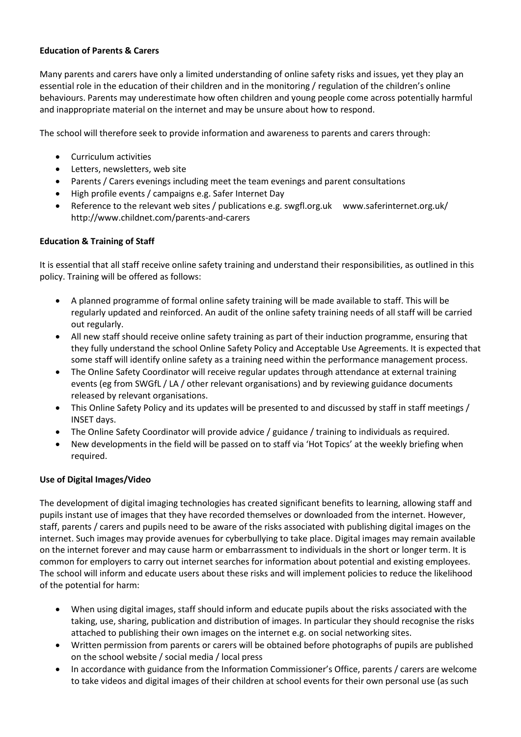#### **Education of Parents & Carers**

Many parents and carers have only a limited understanding of online safety risks and issues, yet they play an essential role in the education of their children and in the monitoring / regulation of the children's online behaviours. Parents may underestimate how often children and young people come across potentially harmful and inappropriate material on the internet and may be unsure about how to respond.

The school will therefore seek to provide information and awareness to parents and carers through:

- Curriculum activities
- Letters, newsletters, web site
- Parents / Carers evenings including meet the team evenings and parent consultations
- High profile events / campaigns e.g. Safer Internet Day
- Reference to the relevant web sites / publications e.g. [swgfl.org.uk](http://swgfl.org.uk/) www.saferinternet.org.uk/ <http://www.childnet.com/parents-and-carers>

# **Education & Training of Staff**

It is essential that all staff receive online safety training and understand their responsibilities, as outlined in this policy. Training will be offered as follows:

- A planned programme of formal online safety training will be made available to staff. This will be regularly updated and reinforced. An audit of the online safety training needs of all staff will be carried out regularly.
- All new staff should receive online safety training as part of their induction programme, ensuring that they fully understand the school Online Safety Policy and Acceptable Use Agreements. It is expected that some staff will identify online safety as a training need within the performance management process.
- The Online Safety Coordinator will receive regular updates through attendance at external training events (eg from SWGfL / LA / other relevant organisations) and by reviewing guidance documents released by relevant organisations.
- This Online Safety Policy and its updates will be presented to and discussed by staff in staff meetings / INSET days.
- The Online Safety Coordinator will provide advice / guidance / training to individuals as required.
- New developments in the field will be passed on to staff via 'Hot Topics' at the weekly briefing when required.

# **Use of Digital Images/Video**

The development of digital imaging technologies has created significant benefits to learning, allowing staff and pupils instant use of images that they have recorded themselves or downloaded from the internet. However, staff, parents / carers and pupils need to be aware of the risks associated with publishing digital images on the internet. Such images may provide avenues for cyberbullying to take place. Digital images may remain available on the internet forever and may cause harm or embarrassment to individuals in the short or longer term. It is common for employers to carry out internet searches for information about potential and existing employees. The school will inform and educate users about these risks and will implement policies to reduce the likelihood of the potential for harm:

- When using digital images, staff should inform and educate pupils about the risks associated with the taking, use, sharing, publication and distribution of images. In particular they should recognise the risks attached to publishing their own images on the internet e.g. on social networking sites.
- Written permission from parents or carers will be obtained before photographs of pupils are published on the school website / social media / local press
- In accordance with guidance from the Information Commissioner's Office, parents / carers are welcome to take videos and digital images of their children at school events for their own personal use (as such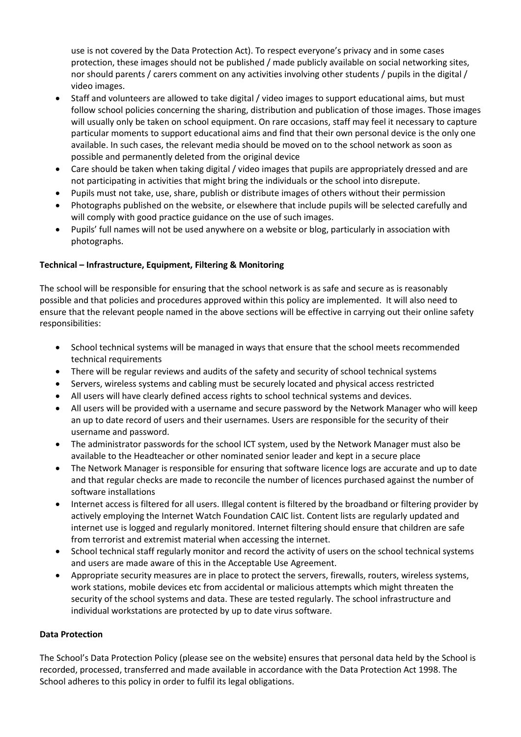use is not covered by the Data Protection Act). To respect everyone's privacy and in some cases protection, these images should not be published / made publicly available on social networking sites, nor should parents / carers comment on any activities involving other students / pupils in the digital / video images.

- Staff and volunteers are allowed to take digital / video images to support educational aims, but must follow school policies concerning the sharing, distribution and publication of those images. Those images will usually only be taken on school equipment. On rare occasions, staff may feel it necessary to capture particular moments to support educational aims and find that their own personal device is the only one available. In such cases, the relevant media should be moved on to the school network as soon as possible and permanently deleted from the original device
- Care should be taken when taking digital / video images that pupils are appropriately dressed and are not participating in activities that might bring the individuals or the school into disrepute.
- Pupils must not take, use, share, publish or distribute images of others without their permission
- Photographs published on the website, or elsewhere that include pupils will be selected carefully and will comply with good practice guidance on the use of such images.
- Pupils' full names will not be used anywhere on a website or blog, particularly in association with photographs.

# **Technical – Infrastructure, Equipment, Filtering & Monitoring**

The school will be responsible for ensuring that the school network is as safe and secure as is reasonably possible and that policies and procedures approved within this policy are implemented. It will also need to ensure that the relevant people named in the above sections will be effective in carrying out their online safety responsibilities:

- School technical systems will be managed in ways that ensure that the school meets recommended technical requirements
- There will be regular reviews and audits of the safety and security of school technical systems
- Servers, wireless systems and cabling must be securely located and physical access restricted
- All users will have clearly defined access rights to school technical systems and devices.
- All users will be provided with a username and secure password by the Network Manager who will keep an up to date record of users and their usernames. Users are responsible for the security of their username and password.
- The administrator passwords for the school ICT system, used by the Network Manager must also be available to the Headteacher or other nominated senior leader and kept in a secure place
- The Network Manager is responsible for ensuring that software licence logs are accurate and up to date and that regular checks are made to reconcile the number of licences purchased against the number of software installations
- Internet access is filtered for all users. Illegal content is filtered by the broadband or filtering provider by actively employing the Internet Watch Foundation CAIC list. Content lists are regularly updated and internet use is logged and regularly monitored. Internet filtering should ensure that children are safe from terrorist and extremist material when accessing the internet.
- School technical staff regularly monitor and record the activity of users on the school technical systems and users are made aware of this in the Acceptable Use Agreement.
- Appropriate security measures are in place to protect the servers, firewalls, routers, wireless systems, work stations, mobile devices etc from accidental or malicious attempts which might threaten the security of the school systems and data. These are tested regularly. The school infrastructure and individual workstations are protected by up to date virus software.

# **Data Protection**

The School's Data Protection Policy (please see on the website) ensures that personal data held by the School is recorded, processed, transferred and made available in accordance with the Data Protection Act 1998. The School adheres to this policy in order to fulfil its legal obligations.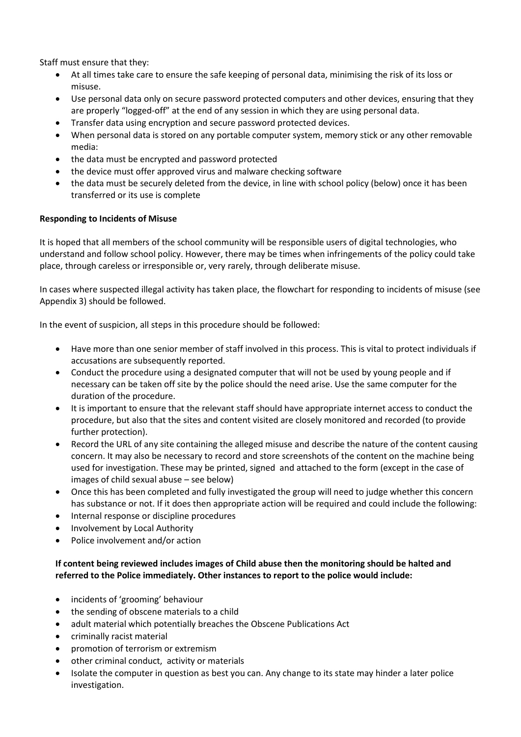Staff must ensure that they:

- At all times take care to ensure the safe keeping of personal data, minimising the risk of its loss or misuse.
- Use personal data only on secure password protected computers and other devices, ensuring that they are properly "logged-off" at the end of any session in which they are using personal data.
- Transfer data using encryption and secure password protected devices.
- When personal data is stored on any portable computer system, memory stick or any other removable media:
- the data must be encrypted and password protected
- the device must offer approved virus and malware checking software
- the data must be securely deleted from the device, in line with school policy (below) once it has been transferred or its use is complete

# **Responding to Incidents of Misuse**

It is hoped that all members of the school community will be responsible users of digital technologies, who understand and follow school policy. However, there may be times when infringements of the policy could take place, through careless or irresponsible or, very rarely, through deliberate misuse.

In cases where suspected illegal activity has taken place, the flowchart for responding to incidents of misuse (see Appendix 3) should be followed.

In the event of suspicion, all steps in this procedure should be followed:

- Have more than one senior member of staff involved in this process. This is vital to protect individuals if accusations are subsequently reported.
- Conduct the procedure using a designated computer that will not be used by young people and if necessary can be taken off site by the police should the need arise. Use the same computer for the duration of the procedure.
- It is important to ensure that the relevant staff should have appropriate internet access to conduct the procedure, but also that the sites and content visited are closely monitored and recorded (to provide further protection).
- Record the URL of any site containing the alleged misuse and describe the nature of the content causing concern. It may also be necessary to record and store screenshots of the content on the machine being used for investigation. These may be printed, signed and attached to the form (except in the case of images of child sexual abuse – see below)
- Once this has been completed and fully investigated the group will need to judge whether this concern has substance or not. If it does then appropriate action will be required and could include the following:
- Internal response or discipline procedures
- Involvement by Local Authority
- Police involvement and/or action

# **If content being reviewed includes images of Child abuse then the monitoring should be halted and referred to the Police immediately. Other instances to report to the police would include:**

- incidents of 'grooming' behaviour
- the sending of obscene materials to a child
- adult material which potentially breaches the Obscene Publications Act
- criminally racist material
- promotion of terrorism or extremism
- other criminal conduct, activity or materials
- Isolate the computer in question as best you can. Any change to its state may hinder a later police investigation.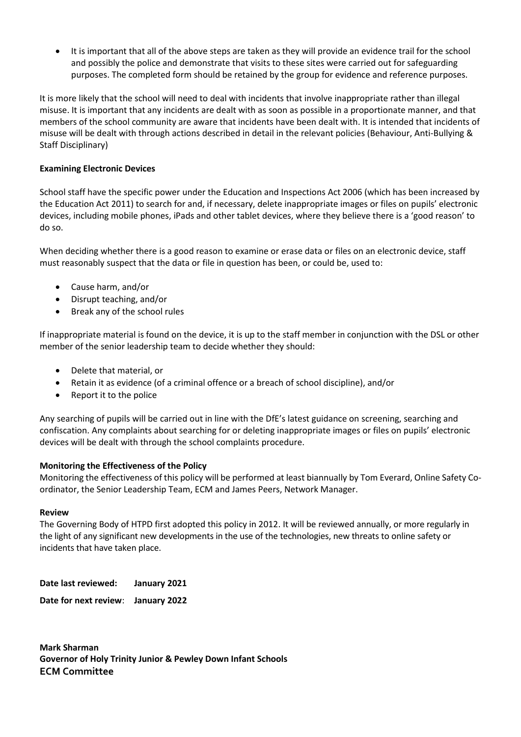It is important that all of the above steps are taken as they will provide an evidence trail for the school and possibly the police and demonstrate that visits to these sites were carried out for safeguarding purposes. The completed form should be retained by the group for evidence and reference purposes.

It is more likely that the school will need to deal with incidents that involve inappropriate rather than illegal misuse. It is important that any incidents are dealt with as soon as possible in a proportionate manner, and that members of the school community are aware that incidents have been dealt with. It is intended that incidents of misuse will be dealt with through actions described in detail in the relevant policies (Behaviour, Anti-Bullying & Staff Disciplinary)

# **Examining Electronic Devices**

School staff have the specific power under the Education and Inspections Act 2006 (which has been increased by the Education Act 2011) to search for and, if necessary, delete inappropriate images or files on pupils' electronic devices, including mobile phones, iPads and other tablet devices, where they believe there is a 'good reason' to do so.

When deciding whether there is a good reason to examine or erase data or files on an electronic device, staff must reasonably suspect that the data or file in question has been, or could be, used to:

- Cause harm, and/or
- Disrupt teaching, and/or
- Break any of the school rules

If inappropriate material is found on the device, it is up to the staff member in conjunction with the DSL or other member of the senior leadership team to decide whether they should:

- Delete that material, or
- Retain it as evidence (of a criminal offence or a breach of school discipline), and/or
- Report it to the police

Any searching of pupils will be carried out in line with the DfE's latest guidance on [screening, searching and](https://www.gov.uk/government/publications/searching-screening-and-confiscation)  [confiscation.](https://www.gov.uk/government/publications/searching-screening-and-confiscation) Any complaints about searching for or deleting inappropriate images or files on pupils' electronic devices will be dealt with through the school complaints procedure.

# **Monitoring the Effectiveness of the Policy**

Monitoring the effectiveness of this policy will be performed at least biannually by Tom Everard, Online Safety Coordinator, the Senior Leadership Team, ECM and James Peers, Network Manager.

#### **Review**

The Governing Body of HTPD first adopted this policy in 2012. It will be reviewed annually, or more regularly in the light of any significant new developments in the use of the technologies, new threats to online safety or incidents that have taken place.

**Date last reviewed: January 2021**

**Date for next review**: **January 2022**

**Mark Sharman Governor of Holy Trinity Junior & Pewley Down Infant Schools ECM Committee**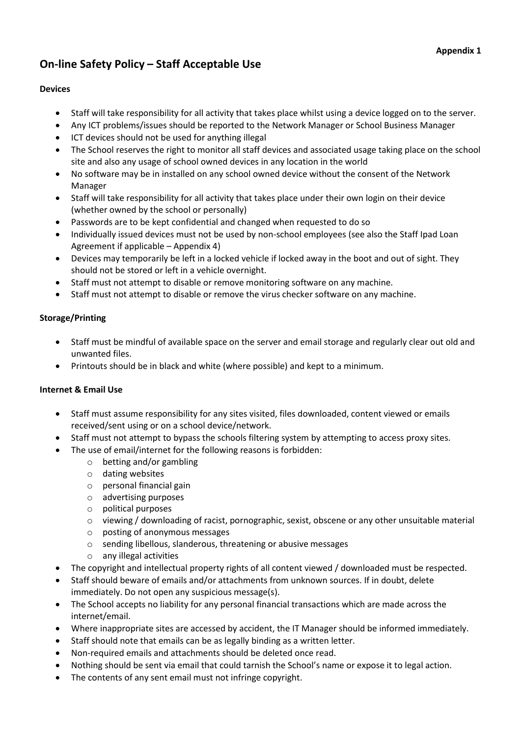# **On-line Safety Policy – Staff Acceptable Use**

# **Devices**

- Staff will take responsibility for all activity that takes place whilst using a device logged on to the server.
- Any ICT problems/issues should be reported to the Network Manager or School Business Manager
- ICT devices should not be used for anything illegal
- The School reserves the right to monitor all staff devices and associated usage taking place on the school site and also any usage of school owned devices in any location in the world
- No software may be in installed on any school owned device without the consent of the Network Manager
- Staff will take responsibility for all activity that takes place under their own login on their device (whether owned by the school or personally)
- Passwords are to be kept confidential and changed when requested to do so
- Individually issued devices must not be used by non-school employees (see also the Staff Ipad Loan Agreement if applicable – Appendix 4)
- Devices may temporarily be left in a locked vehicle if locked away in the boot and out of sight. They should not be stored or left in a vehicle overnight.
- Staff must not attempt to disable or remove monitoring software on any machine.
- Staff must not attempt to disable or remove the virus checker software on any machine.

# **Storage/Printing**

- Staff must be mindful of available space on the server and email storage and regularly clear out old and unwanted files.
- Printouts should be in black and white (where possible) and kept to a minimum.

# **Internet & Email Use**

- Staff must assume responsibility for any sites visited, files downloaded, content viewed or emails received/sent using or on a school device/network.
- Staff must not attempt to bypass the schools filtering system by attempting to access proxy sites.
- The use of email/internet for the following reasons is forbidden:
	- o betting and/or gambling
	- o dating websites
	- o personal financial gain
	- o advertising purposes
	- o political purposes
	- o viewing / downloading of racist, pornographic, sexist, obscene or any other unsuitable material
	- o posting of anonymous messages
	- o sending libellous, slanderous, threatening or abusive messages
	- o any illegal activities
- The copyright and intellectual property rights of all content viewed / downloaded must be respected.
- Staff should beware of emails and/or attachments from unknown sources. If in doubt, delete immediately. Do not open any suspicious message(s).
- The School accepts no liability for any personal financial transactions which are made across the internet/email.
- Where inappropriate sites are accessed by accident, the IT Manager should be informed immediately.
- Staff should note that emails can be as legally binding as a written letter.
- Non-required emails and attachments should be deleted once read.
- Nothing should be sent via email that could tarnish the School's name or expose it to legal action.
- The contents of any sent email must not infringe copyright.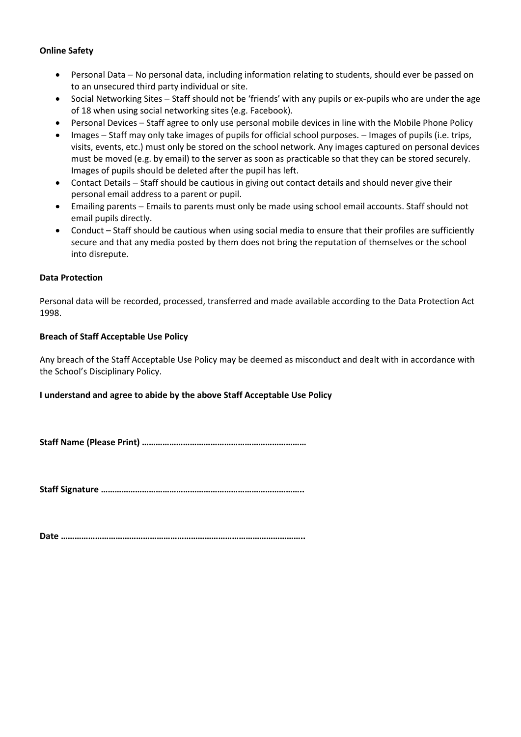#### **Online Safety**

- Personal Data No personal data, including information relating to students, should ever be passed on to an unsecured third party individual or site.
- Social Networking Sites Staff should not be 'friends' with any pupils or ex-pupils who are under the age of 18 when using social networking sites (e.g. Facebook).
- Personal Devices Staff agree to only use personal mobile devices in line with the Mobile Phone Policy
- Images Staff may only take images of pupils for official school purposes. Images of pupils (i.e. trips, visits, events, etc.) must only be stored on the school network. Any images captured on personal devices must be moved (e.g. by email) to the server as soon as practicable so that they can be stored securely. Images of pupils should be deleted after the pupil has left.
- Contact Details Staff should be cautious in giving out contact details and should never give their personal email address to a parent or pupil.
- Emailing parents Emails to parents must only be made using school email accounts. Staff should not email pupils directly.
- Conduct Staff should be cautious when using social media to ensure that their profiles are sufficiently secure and that any media posted by them does not bring the reputation of themselves or the school into disrepute.

#### **Data Protection**

Personal data will be recorded, processed, transferred and made available according to the Data Protection Act 1998.

#### **Breach of Staff Acceptable Use Policy**

Any breach of the Staff Acceptable Use Policy may be deemed as misconduct and dealt with in accordance with the School's Disciplinary Policy.

#### **I understand and agree to abide by the above Staff Acceptable Use Policy**

**Staff Name (Please Print) ………………………………………………………………**

**Staff Signature ……………………………………………………………………………..**

**Date ……………………………………………………………………………………………..**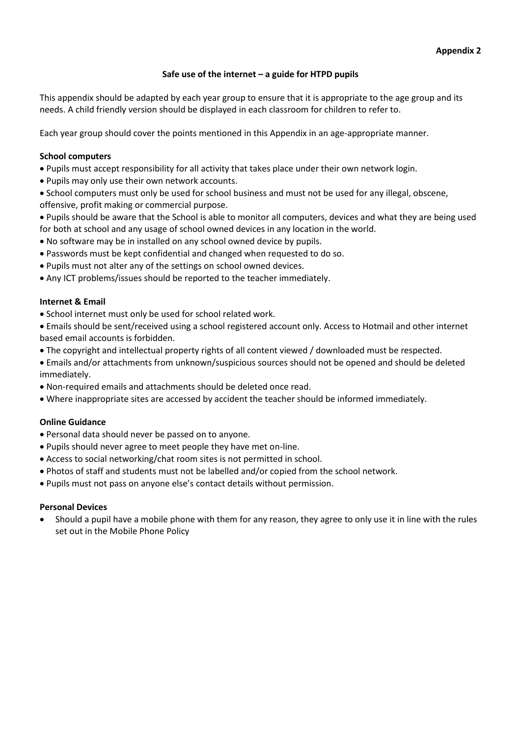#### **Safe use of the internet – a guide for HTPD pupils**

This appendix should be adapted by each year group to ensure that it is appropriate to the age group and its needs. A child friendly version should be displayed in each classroom for children to refer to.

Each year group should cover the points mentioned in this Appendix in an age-appropriate manner.

#### **School computers**

Pupils must accept responsibility for all activity that takes place under their own network login.

- Pupils may only use their own network accounts.
- School computers must only be used for school business and must not be used for any illegal, obscene, offensive, profit making or commercial purpose.
- Pupils should be aware that the School is able to monitor all computers, devices and what they are being used for both at school and any usage of school owned devices in any location in the world.
- No software may be in installed on any school owned device by pupils.
- Passwords must be kept confidential and changed when requested to do so.
- Pupils must not alter any of the settings on school owned devices.
- Any ICT problems/issues should be reported to the teacher immediately.

#### **Internet & Email**

• School internet must only be used for school related work.

 Emails should be sent/received using a school registered account only. Access to Hotmail and other internet based email accounts is forbidden.

- The copyright and intellectual property rights of all content viewed / downloaded must be respected.
- Emails and/or attachments from unknown/suspicious sources should not be opened and should be deleted immediately.
- Non-required emails and attachments should be deleted once read.
- Where inappropriate sites are accessed by accident the teacher should be informed immediately.

#### **Online Guidance**

- Personal data should never be passed on to anyone.
- Pupils should never agree to meet people they have met on-line.
- Access to social networking/chat room sites is not permitted in school.
- Photos of staff and students must not be labelled and/or copied from the school network.
- Pupils must not pass on anyone else's contact details without permission.

#### **Personal Devices**

 Should a pupil have a mobile phone with them for any reason, they agree to only use it in line with the rules set out in the Mobile Phone Policy